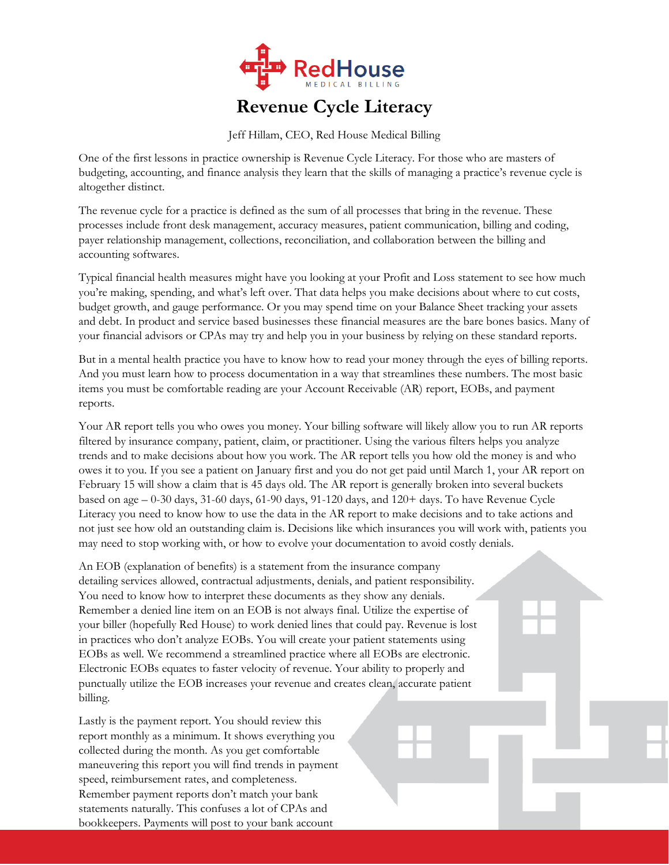

## **Revenue Cycle Literacy**

Jeff Hillam, CEO, Red House Medical Billing

One of the first lessons in practice ownership is Revenue Cycle Literacy. For those who are masters of budgeting, accounting, and finance analysis they learn that the skills of managing a practice's revenue cycle is altogether distinct.

The revenue cycle for a practice is defined as the sum of all processes that bring in the revenue. These processes include front desk management, accuracy measures, patient communication, billing and coding, payer relationship management, collections, reconciliation, and collaboration between the billing and accounting softwares.

Typical financial health measures might have you looking at your Profit and Loss statement to see how much you're making, spending, and what's left over. That data helps you make decisions about where to cut costs, budget growth, and gauge performance. Or you may spend time on your Balance Sheet tracking your assets and debt. In product and service based businesses these financial measures are the bare bones basics. Many of your financial advisors or CPAs may try and help you in your business by relying on these standard reports.

But in a mental health practice you have to know how to read your money through the eyes of billing reports. And you must learn how to process documentation in a way that streamlines these numbers. The most basic items you must be comfortable reading are your Account Receivable (AR) report, EOBs, and payment reports.

Your AR report tells you who owes you money. Your billing software will likely allow you to run AR reports filtered by insurance company, patient, claim, or practitioner. Using the various filters helps you analyze trends and to make decisions about how you work. The AR report tells you how old the money is and who owes it to you. If you see a patient on January first and you do not get paid until March 1, your AR report on February 15 will show a claim that is 45 days old. The AR report is generally broken into several buckets based on age – 0-30 days, 31-60 days, 61-90 days, 91-120 days, and 120+ days. To have Revenue Cycle Literacy you need to know how to use the data in the AR report to make decisions and to take actions and not just see how old an outstanding claim is. Decisions like which insurances you will work with, patients you may need to stop working with, or how to evolve your documentation to avoid costly denials.

An EOB (explanation of benefits) is a statement from the insurance company detailing services allowed, contractual adjustments, denials, and patient responsibility. You need to know how to interpret these documents as they show any denials. Remember a denied line item on an EOB is not always final. Utilize the expertise of your biller (hopefully Red House) to work denied lines that could pay. Revenue is lost in practices who don't analyze EOBs. You will create your patient statements using EOBs as well. We recommend a streamlined practice where all EOBs are electronic. Electronic EOBs equates to faster velocity of revenue. Your ability to properly and punctually utilize the EOB increases your revenue and creates clean, accurate patient billing.

Lastly is the payment report. You should review this report monthly as a minimum. It shows everything you collected during the month. As you get comfortable maneuvering this report you will find trends in payment speed, reimbursement rates, and completeness. Remember payment reports don't match your bank statements naturally. This confuses a lot of CPAs and bookkeepers. Payments will post to your bank account